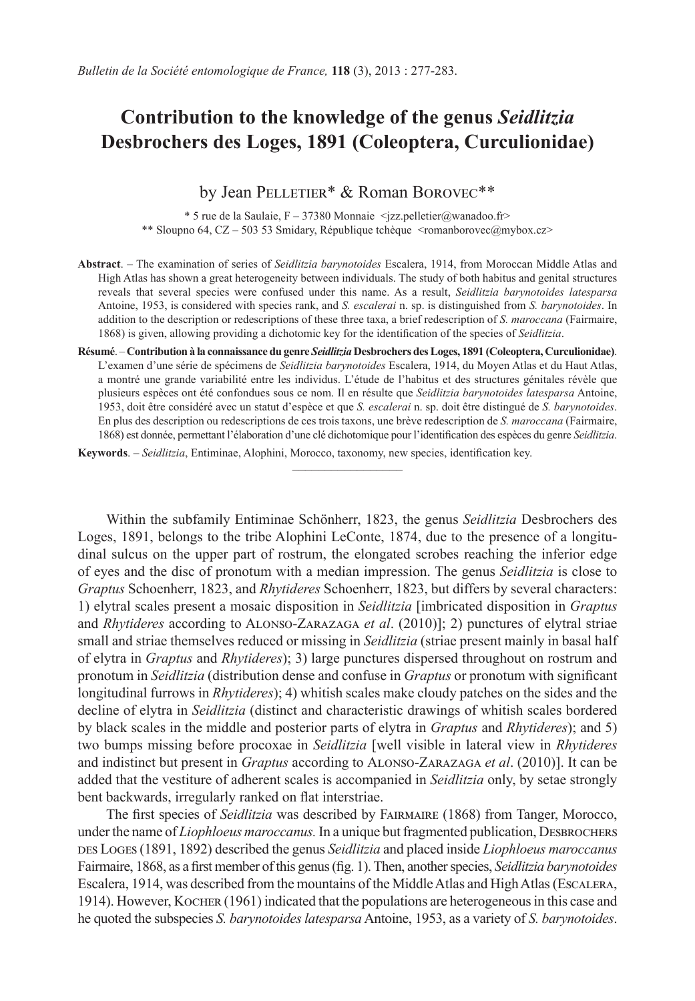# **Contribution to the knowledge of the genus** *Seidlitzia* **Desbrochers des Loges, 1891 (Coleoptera, Curculionidae)**

## by Jean PELLETIER\* & Roman BOROVEC\*\*

\* 5 rue de la Saulaie, F – 37380 Monnaie <jzz.pelletier@wanadoo.fr> \*\* Sloupno 64, CZ – 503 53 Smidary, République tchèque <romanborovec@mybox.cz>

- **Abstract**. The examination of series of *Seidlitzia barynotoides* Escalera, 1914, from Moroccan Middle Atlas and High Atlas has shown a great heterogeneity between individuals. The study of both habitus and genital structures reveals that several species were confused under this name. As a result, *Seidlitzia barynotoides latesparsa* Antoine, 1953, is considered with species rank, and *S. escalerai* n. sp. is distinguished from *S. barynotoides*. In addition to the description or redescriptions of these three taxa, a brief redescription of *S. maroccana* (Fairmaire, 1868) is given, allowing providing a dichotomic key for the identification of the species of *Seidlitzia*.
- **Résumé**. **Contribution à la connaissance du genre** *Seidlitzia* **Desbrochers des Loges, 1891 (Coleoptera, Curculionidae)**. L'examen d'une série de spécimens de *Seidlitzia barynotoides* Escalera, 1914, du Moyen Atlas et du Haut Atlas, a montré une grande variabilité entre les individus. L'étude de l'habitus et des structures génitales révèle que plusieurs espèces ont été confondues sous ce nom. Il en résulte que *Seidlitzia barynotoides latesparsa* Antoine, 1953, doit être considéré avec un statut d'espèce et que *S. escalerai* n. sp. doit être distingué de *S. barynotoides*. En plus des description ou redescriptions de ces trois taxons, une brève redescription de *S. maroccana* (Fairmaire, 1868) est donnée, permettant l'élaboration d'une clé dichotomique pour l'identification des espèces du genre *Seidlitzia*.

**Keywords**. – *Seidlitzia*, Entiminae, Alophini, Morocco, taxonomy, new species, identification key.

Within the subfamily Entiminae Schönherr, 1823, the genus *Seidlitzia* Desbrochers des Loges, 1891, belongs to the tribe Alophini LeConte, 1874, due to the presence of a longitudinal sulcus on the upper part of rostrum, the elongated scrobes reaching the inferior edge of eyes and the disc of pronotum with a median impression. The genus *Seidlitzia* is close to *Graptus* Schoenherr, 1823, and *Rhytideres* Schoenherr, 1823, but differs by several characters: 1) elytral scales present a mosaic disposition in *Seidlitzia* [imbricated disposition in *Graptus* and *Rhytideres* according to Alonso-Zarazaga *et al*. (2010)]; 2) punctures of elytral striae small and striae themselves reduced or missing in *Seidlitzia* (striae present mainly in basal half of elytra in *Graptus* and *Rhytideres*); 3) large punctures dispersed throughout on rostrum and pronotum in *Seidlitzia* (distribution dense and confuse in *Graptus* or pronotum with significant longitudinal furrows in *Rhytideres*); 4) whitish scales make cloudy patches on the sides and the decline of elytra in *Seidlitzia* (distinct and characteristic drawings of whitish scales bordered by black scales in the middle and posterior parts of elytra in *Graptus* and *Rhytideres*); and 5) two bumps missing before procoxae in *Seidlitzia* [well visible in lateral view in *Rhytideres* and indistinct but present in *Graptus* according to Alonso-Zarazaga *et al*. (2010)]. It can be added that the vestiture of adherent scales is accompanied in *Seidlitzia* only, by setae strongly bent backwards, irregularly ranked on flat interstriae.

The first species of *Seidlitzia* was described by Fairmaire (1868) from Tanger, Morocco, under the name of *Liophloeus maroccanus*. In a unique but fragmented publication, DESBROCHERS des Loges (1891, 1892) described the genus *Seidlitzia* and placed inside *Liophloeus maroccanus* Fairmaire, 1868, as a first member of this genus (fig. 1). Then, another species, *Seidlitzia barynotoides*  Escalera, 1914, was described from the mountains of the Middle Atlas and High Atlas (Escalera, 1914). However, Kocher (1961) indicated that the populations are heterogeneous in this case and he quoted the subspecies *S. barynotoides latesparsa* Antoine, 1953, as a variety of *S. barynotoides*.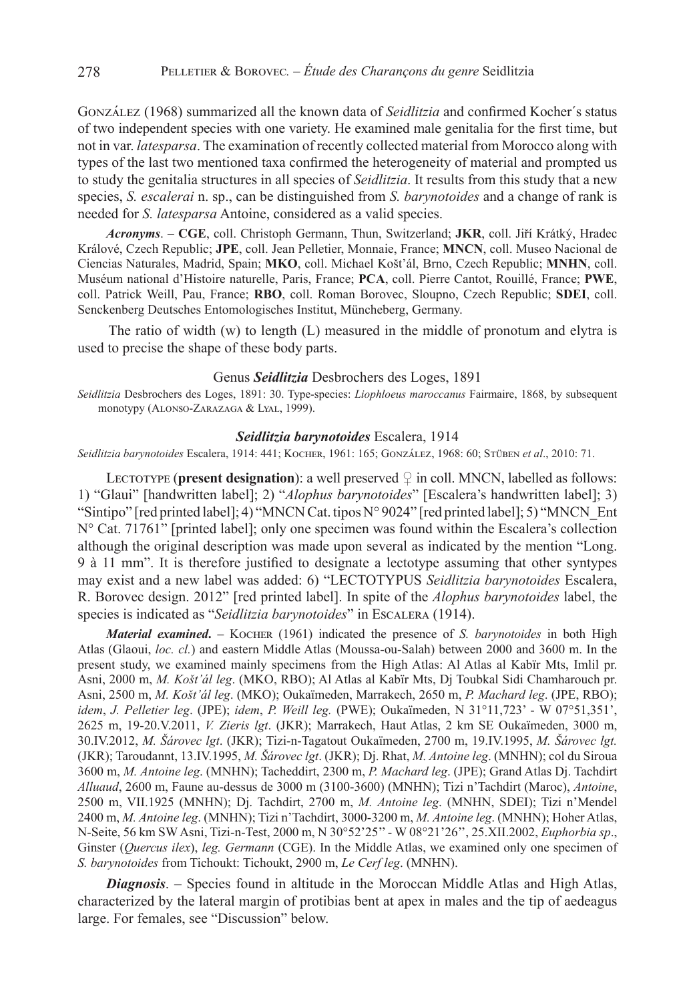González (1968) summarized all the known data of *Seidlitzia* and confirmed Kocher´s status of two independent species with one variety. He examined male genitalia for the first time, but not in var. *latesparsa*. The examination of recently collected material from Morocco along with types of the last two mentioned taxa confirmed the heterogeneity of material and prompted us to study the genitalia structures in all species of *Seidlitzia*. It results from this study that a new species, *S. escalerai* n. sp., can be distinguished from *S. barynotoides* and a change of rank is needed for *S. latesparsa* Antoine, considered as a valid species.

*Acronyms*. – **CGE**, coll. Christoph Germann, Thun, Switzerland; **JKR**, coll. Jiří Krátký, Hradec Králové, Czech Republic; **JPE**, coll. Jean Pelletier, Monnaie, France; **MNCN**, coll. Museo Nacional de Ciencias Naturales, Madrid, Spain; **MKO**, coll. Michael Košt'ál, Brno, Czech Republic; **MNHN**, coll. Muséum national d'Histoire naturelle, Paris, France; **PCA**, coll. Pierre Cantot, Rouillé, France; **PWE**, coll. Patrick Weill, Pau, France; **RBO**, coll. Roman Borovec, Sloupno, Czech Republic; **SDEI**, coll. Senckenberg Deutsches Entomologisches Institut, Müncheberg, Germany.

The ratio of width (w) to length (L) measured in the middle of pronotum and elytra is used to precise the shape of these body parts.

#### Genus *Seidlitzia* Desbrochers des Loges, 1891

*Seidlitzia* Desbrochers des Loges, 1891: 30. Type-species: *Liophloeus maroccanus* Fairmaire, 1868, by subsequent monotypy (Alonso-Zarazaga & Lyal, 1999).

#### *Seidlitzia barynotoides* Escalera, 1914

*Seidlitzia barynotoides* Escalera, 1914: 441; Kocher, 1961: 165; González, 1968: 60; Stüben *et al*., 2010: 71.

LECTOTYPE (**present designation**): a well preserved  $\varphi$  in coll. MNCN, labelled as follows: 1) "Glaui" [handwritten label]; 2) "*Alophus barynotoides*" [Escalera's handwritten label]; 3) "Sintipo" [red printed label]; 4) "MNCN Cat. tipos N° 9024" [red printed label]; 5) "MNCN\_Ent N° Cat. 71761" [printed label]; only one specimen was found within the Escalera's collection although the original description was made upon several as indicated by the mention "Long. 9 à 11 mm". It is therefore justified to designate a lectotype assuming that other syntypes may exist and a new label was added: 6) "LECTOTYPUS *Seidlitzia barynotoides* Escalera, R. Borovec design. 2012" [red printed label]. In spite of the *Alophus barynotoides* label, the species is indicated as "*Seidlitzia barynotoides*" in Escalera (1914).

*Material examined***. –** Kocher (1961) indicated the presence of *S. barynotoides* in both High Atlas (Glaoui, *loc. cl.*) and eastern Middle Atlas (Moussa-ou-Salah) between 2000 and 3600 m. In the present study, we examined mainly specimens from the High Atlas: Al Atlas al Kabïr Mts, Imlil pr. Asni, 2000 m, *M. Košt'ál leg*. (MKO, RBO); Al Atlas al Kabïr Mts, Dj Toubkal Sidi Chamharouch pr. Asni, 2500 m, *M. Košt'ál leg*. (MKO); Oukaïmeden, Marrakech, 2650 m, *P. Machard leg*. (JPE, RBO); *idem*, *J. Pelletier leg*. (JPE); *idem*, *P. Weill leg.* (PWE); Oukaïmeden, N 31°11,723' - W 07°51,351', 2625 m, 19-20.V.2011, *V. Zieris lgt*. (JKR); Marrakech, Haut Atlas, 2 km SE Oukaïmeden, 3000 m, 30.IV.2012, *M. Šárovec lgt*. (JKR); Tizi-n-Tagatout Oukaïmeden, 2700 m, 19.IV.1995, *M. Šárovec lgt.* (JKR); Taroudannt, 13.IV.1995, *M. Šárovec lgt*. (JKR); Dj. Rhat, *M. Antoine leg*. (MNHN); col du Siroua 3600 m, *M. Antoine leg*. (MNHN); Tacheddirt, 2300 m, *P. Machard leg*. (JPE); Grand Atlas Dj. Tachdirt *Alluaud*, 2600 m, Faune au-dessus de 3000 m (3100-3600) (MNHN); Tizi n'Tachdirt (Maroc), *Antoine*, 2500 m, VII.1925 (MNHN); Dj. Tachdirt, 2700 m, *M. Antoine leg*. (MNHN, SDEI); Tizi n'Mendel 2400 m, *M. Antoine leg*. (MNHN); Tizi n'Tachdirt, 3000-3200 m, *M. Antoine leg*. (MNHN); Hoher Atlas, N-Seite, 56 km SW Asni, Tizi-n-Test, 2000 m, N 30°52'25'' - W 08°21'26'', 25.XII.2002, *Euphorbia sp*., Ginster (*Quercus ilex*), *leg. Germann* (CGE). In the Middle Atlas, we examined only one specimen of *S. barynotoides* from Tichoukt: Tichoukt, 2900 m, *Le Cerf leg*. (MNHN).

*Diagnosis*. – Species found in altitude in the Moroccan Middle Atlas and High Atlas, characterized by the lateral margin of protibias bent at apex in males and the tip of aedeagus large. For females, see "Discussion" below.

278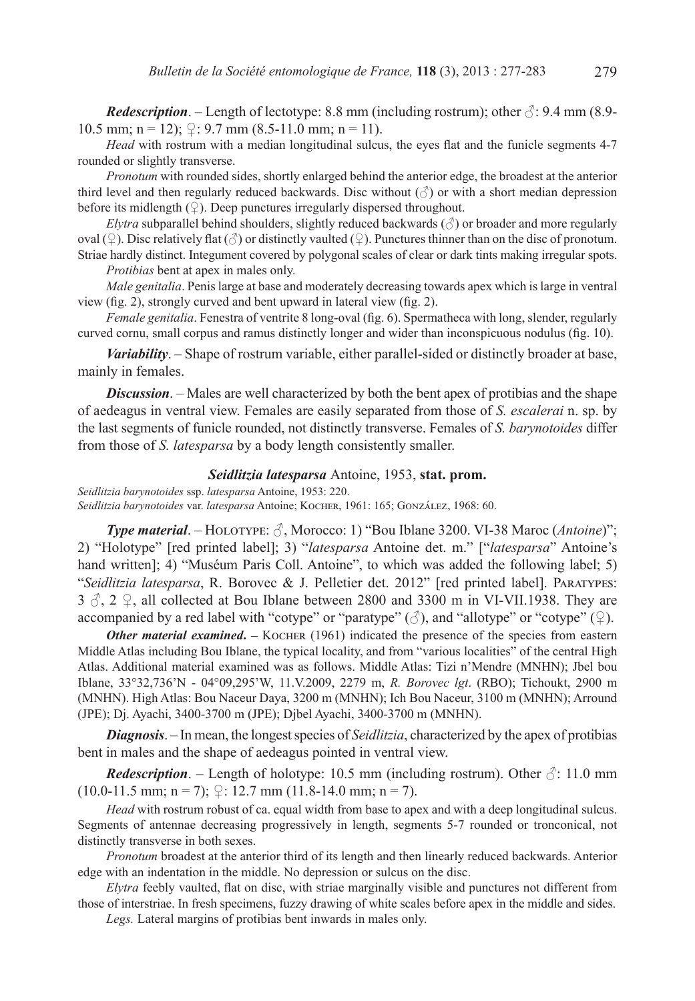*Redescription*. – Length of lectotype: 8.8 mm (including rostrum); other  $\delta$ : 9.4 mm (8.9-10.5 mm; n = 12);  $\mathcal{Q}$ : 9.7 mm (8.5-11.0 mm; n = 11).

*Head* with rostrum with a median longitudinal sulcus, the eyes flat and the funicle segments 4-7 rounded or slightly transverse.

*Pronotum* with rounded sides, shortly enlarged behind the anterior edge, the broadest at the anterior third level and then regularly reduced backwards. Disc without  $(\text{C})$  or with a short median depression before its midlength  $(\mathcal{Q})$ . Deep punctures irregularly dispersed throughout.

*Elytra* subparallel behind shoulders, slightly reduced backwards  $(\text{ } \textcircled{})$  or broader and more regularly oval (♀). Disc relatively flat (♂) or distinctly vaulted (♀). Punctures thinner than on the disc of pronotum. Striae hardly distinct. Integument covered by polygonal scales of clear or dark tints making irregular spots.

*Protibias* bent at apex in males only.

*Male genitalia*. Penis large at base and moderately decreasing towards apex which is large in ventral view (fig. 2), strongly curved and bent upward in lateral view (fig. 2).

*Female genitalia*. Fenestra of ventrite 8 long-oval (fig. 6). Spermatheca with long, slender, regularly curved cornu, small corpus and ramus distinctly longer and wider than inconspicuous nodulus (fig. 10).

*Variability*. – Shape of rostrum variable, either parallel-sided or distinctly broader at base, mainly in females.

*Discussion*. – Males are well characterized by both the bent apex of protibias and the shape of aedeagus in ventral view. Females are easily separated from those of *S. escalerai* n. sp. by the last segments of funicle rounded, not distinctly transverse. Females of *S. barynotoides* differ from those of *S. latesparsa* by a body length consistently smaller.

#### *Seidlitzia latesparsa* Antoine, 1953, **stat. prom.**

*Seidlitzia barynotoides* ssp. *latesparsa* Antoine, 1953: 220. *Seidlitzia barynotoides* var. *latesparsa* Antoine; Kocher, 1961: 165; González, 1968: 60.

*Type material.* − HOLOTYPE: ♂, Morocco: 1) "Bou Iblane 3200. VI-38 Maroc (*Antoine*)"; 2) "Holotype" [red printed label]; 3) "*latesparsa* Antoine det. m." ["*latesparsa*" Antoine's hand written]; 4) "Muséum Paris Coll. Antoine", to which was added the following label; 5) "*Seidlitzia latesparsa*, R. Borovec & J. Pelletier det. 2012" [red printed label]. Paratypes:  $3 \text{ } \partial$ ,  $2 \text{ } \partial$ , all collected at Bou Iblane between 2800 and 3300 m in VI-VII.1938. They are accompanied by a red label with "cotype" or "paratype" ( $\Diamond$ ), and "allotype" or "cotype" ( $\Diamond$ ).

**Other material examined.** – KOCHER (1961) indicated the presence of the species from eastern Middle Atlas including Bou Iblane, the typical locality, and from "various localities" of the central High Atlas. Additional material examined was as follows. Middle Atlas: Tizi n'Mendre (MNHN); Jbel bou Iblane, 33°32,736'N - 04°09,295'W, 11.V.2009, 2279 m, *R. Borovec lgt*. (RBO); Tichoukt, 2900 m (MNHN). High Atlas: Bou Naceur Daya, 3200 m (MNHN); Ich Bou Naceur, 3100 m (MNHN); Arround (JPE); Dj. Ayachi, 3400-3700 m (JPE); Djbel Ayachi, 3400-3700 m (MNHN).

*Diagnosis*. – In mean, the longest species of *Seidlitzia*, characterized by the apex of protibias bent in males and the shape of aedeagus pointed in ventral view.

*Redescription.* – Length of holotype: 10.5 mm (including rostrum). Other  $\sqrt{3}$ : 11.0 mm  $(10.0-11.5 \text{ mm}; \text{ n = 7});$   $\frac{\mathcal{Q}}{12.7}$  mm  $(11.8-14.0 \text{ mm}; \text{ n = 7}).$ 

*Head* with rostrum robust of ca. equal width from base to apex and with a deep longitudinal sulcus. Segments of antennae decreasing progressively in length, segments 5-7 rounded or tronconical, not distinctly transverse in both sexes.

*Pronotum* broadest at the anterior third of its length and then linearly reduced backwards. Anterior edge with an indentation in the middle. No depression or sulcus on the disc.

*Elytra* feebly vaulted, flat on disc, with striae marginally visible and punctures not different from those of interstriae. In fresh specimens, fuzzy drawing of white scales before apex in the middle and sides.

*Legs.* Lateral margins of protibias bent inwards in males only.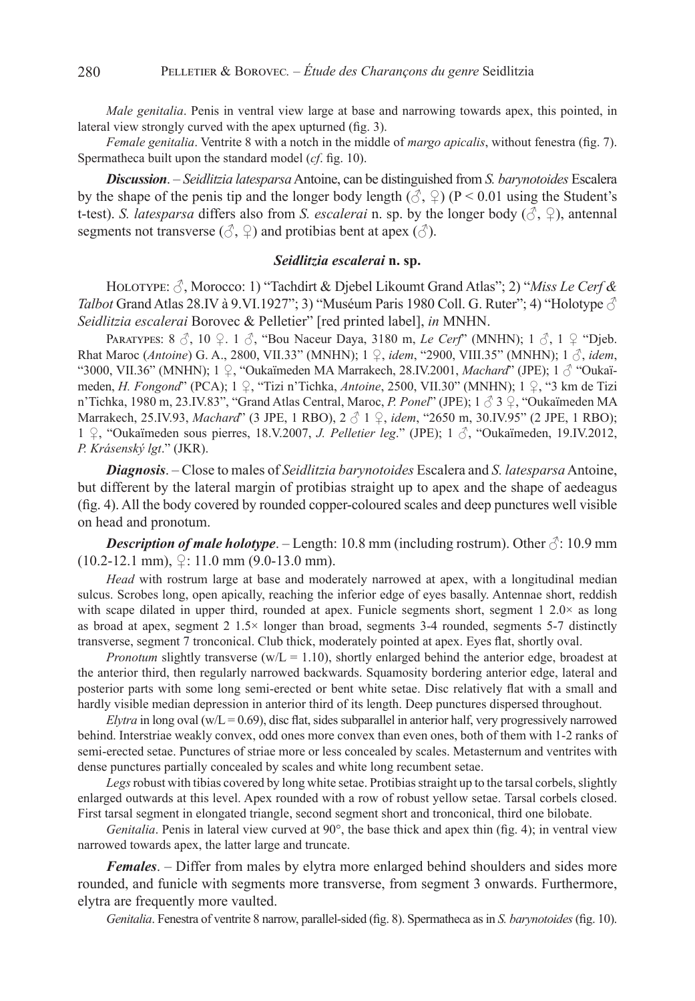*Male genitalia*. Penis in ventral view large at base and narrowing towards apex, this pointed, in lateral view strongly curved with the apex upturned (fig. 3).

*Female genitalia*. Ventrite 8 with a notch in the middle of *margo apicalis*, without fenestra (fig. 7). Spermatheca built upon the standard model (*cf*. fig. 10).

*Discussion*. – *Seidlitzia latesparsa* Antoine, can be distinguished from *S. barynotoides* Escalera by the shape of the penis tip and the longer body length ( $\circ$ ,  $\circ$ ) (P < 0.01 using the Student's t-test). *S. latesparsa* differs also from *S. escalerai* n. sp. by the longer body  $(\Diamond, \Diamond)$ , antennal segments not transverse ( $\Diamond$ ,  $\Diamond$ ) and protibias bent at apex ( $\Diamond$ ).

#### *Seidlitzia escalerai* **n. sp.**

HOLOTYPE:  $\Im$ , Morocco: 1) "Tachdirt & Djebel Likoumt Grand Atlas"; 2) "*Miss Le Cerf & Talbot* Grand Atlas 28.IV à 9.VI.1927"; 3) "Muséum Paris 1980 Coll. G. Ruter"; 4) "Holotype  $\circled{}$ *Seidlitzia escalerai* Borovec & Pelletier" [red printed label], *in* MNHN.

PARATYPES: 8 ♂, 10 ♀. 1 ♂, "Bou Naceur Daya, 3180 m, *Le Cerf*" (MNHN); 1 3, 1 ♀ "Djeb. Rhat Maroc (*Antoine*) G. A., 2800, VII.33" (MNHN); 1 ♀, *idem*, "2900, VIII.35" (MNHN); 1 ♂, *idem*, "3000, VII.36" (MNHN); 1 ♀, "Oukaïmeden MA Marrakech, 28.IV.2001, *Machard*" (JPE); 1 ♂ "Oukaïmeden, *H. Fongond*" (PCA); 1 ♀, "Tizi n'Tichka, *Antoine*, 2500, VII.30" (MNHN); 1 ♀, "3 km de Tizi n'Tichka, 1980 m, 23.IV.83", "Grand Atlas Central, Maroc, *P. Ponel*" (JPE); 1 ♂ 3 ♀, "Oukaïmeden MA Marrakech, 25.IV.93, *Machard*" (3 JPE, 1 RBO), 2 ♂ 1 ♀, *idem*, "2650 m, 30.IV.95" (2 JPE, 1 RBO); 1 ♀, "Oukaïmeden sous pierres, 18.V.2007, *J. Pelletier leg*." (JPE); 1 ♂, "Oukaïmeden, 19.IV.2012, *P. Krásenský lgt*." (JKR).

*Diagnosis*. – Close to males of *Seidlitzia barynotoides* Escalera and *S. latesparsa* Antoine, but different by the lateral margin of protibias straight up to apex and the shape of aedeagus (fig. 4). All the body covered by rounded copper-coloured scales and deep punctures well visible on head and pronotum.

**Description of male holotype**. – Length: 10.8 mm (including rostrum). Other  $\delta$ : 10.9 mm  $(10.2-12.1 \text{ mm})$ ,  $\mathcal{Q}$ : 11.0 mm  $(9.0-13.0 \text{ mm})$ .

*Head* with rostrum large at base and moderately narrowed at apex, with a longitudinal median sulcus. Scrobes long, open apically, reaching the inferior edge of eyes basally. Antennae short, reddish with scape dilated in upper third, rounded at apex. Funicle segments short, segment 1 2.0× as long as broad at apex, segment 2 1.5× longer than broad, segments 3-4 rounded, segments 5-7 distinctly transverse, segment 7 tronconical. Club thick, moderately pointed at apex. Eyes flat, shortly oval.

*Pronotum* slightly transverse (w/L =  $1.10$ ), shortly enlarged behind the anterior edge, broadest at the anterior third, then regularly narrowed backwards. Squamosity bordering anterior edge, lateral and posterior parts with some long semi-erected or bent white setae. Disc relatively flat with a small and hardly visible median depression in anterior third of its length. Deep punctures dispersed throughout.

*Elytra* in long oval (w/L = 0.69), disc flat, sides subparallel in anterior half, very progressively narrowed behind. Interstriae weakly convex, odd ones more convex than even ones, both of them with 1-2 ranks of semi-erected setae. Punctures of striae more or less concealed by scales. Metasternum and ventrites with dense punctures partially concealed by scales and white long recumbent setae.

*Legs* robust with tibias covered by long white setae. Protibias straight up to the tarsal corbels, slightly enlarged outwards at this level. Apex rounded with a row of robust yellow setae. Tarsal corbels closed. First tarsal segment in elongated triangle, second segment short and tronconical, third one bilobate.

*Genitalia*. Penis in lateral view curved at 90°, the base thick and apex thin (fig. 4); in ventral view narrowed towards apex, the latter large and truncate.

*Females*. – Differ from males by elytra more enlarged behind shoulders and sides more rounded, and funicle with segments more transverse, from segment 3 onwards. Furthermore, elytra are frequently more vaulted.

*Genitalia*. Fenestra of ventrite 8 narrow, parallel-sided (fig. 8). Spermatheca as in *S. barynotoides* (fig. 10).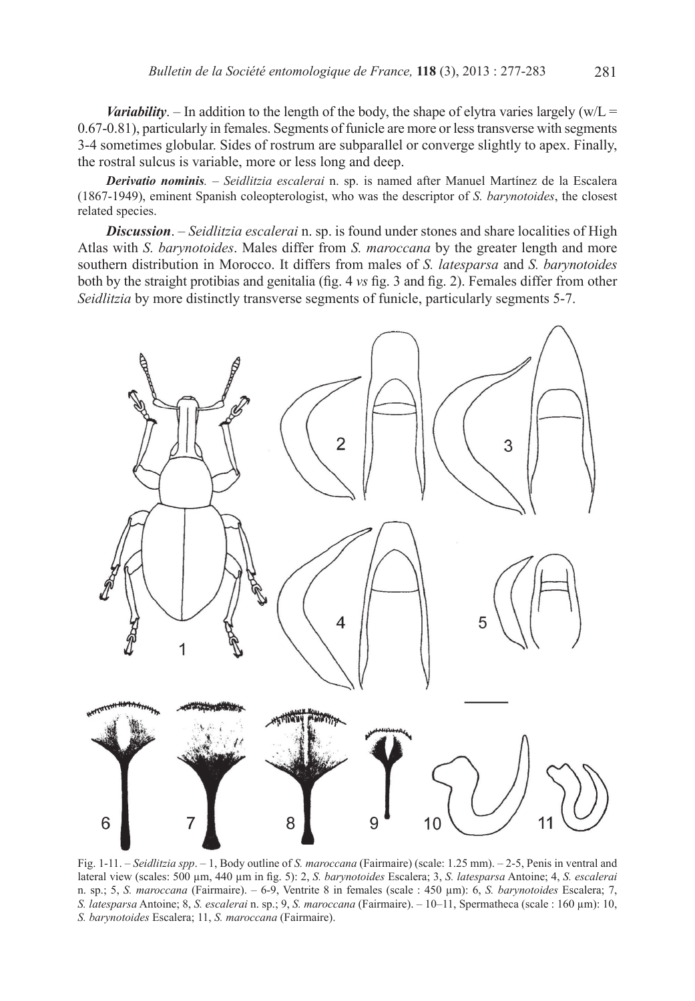*Variability*. – In addition to the length of the body, the shape of elytra varies largely  $(w/L =$ 0.67-0.81), particularly in females. Segments of funicle are more or less transverse with segments 3-4 sometimes globular. Sides of rostrum are subparallel or converge slightly to apex. Finally, the rostral sulcus is variable, more or less long and deep.

*Derivatio nominis.* – *Seidlitzia escalerai* n. sp. is named after Manuel Martínez de la Escalera (1867-1949), eminent Spanish coleopterologist, who was the descriptor of *S. barynotoides*, the closest related species.

*Discussion*. – *Seidlitzia escalerai* n. sp. is found under stones and share localities of High Atlas with *S. barynotoides*. Males differ from *S. maroccana* by the greater length and more southern distribution in Morocco. It differs from males of *S. latesparsa* and *S. barynotoides* both by the straight protibias and genitalia (fig. 4 *vs* fig. 3 and fig. 2). Females differ from other *Seidlitzia* by more distinctly transverse segments of funicle, particularly segments 5-7.



Fig. 1-11. – *Seidlitzia spp*. – 1, Body outline of *S. maroccana* (Fairmaire) (scale: 1.25 mm). – 2-5, Penis in ventral and lateral view (scales: 500 µm, 440 µm in fig. 5): 2, *S. barynotoides* Escalera; 3, *S. latesparsa* Antoine; 4, *S. escalerai* n. sp.; 5, *S. maroccana* (Fairmaire). – 6-9, Ventrite 8 in females (scale : 450 µm): 6, *S. barynotoides* Escalera; 7, *S. latesparsa* Antoine; 8, *S. escalerai* n. sp.; 9, *S. maroccana* (Fairmaire). – 10–11, Spermatheca (scale : 160 µm): 10, *S. barynotoides* Escalera; 11, *S. maroccana* (Fairmaire).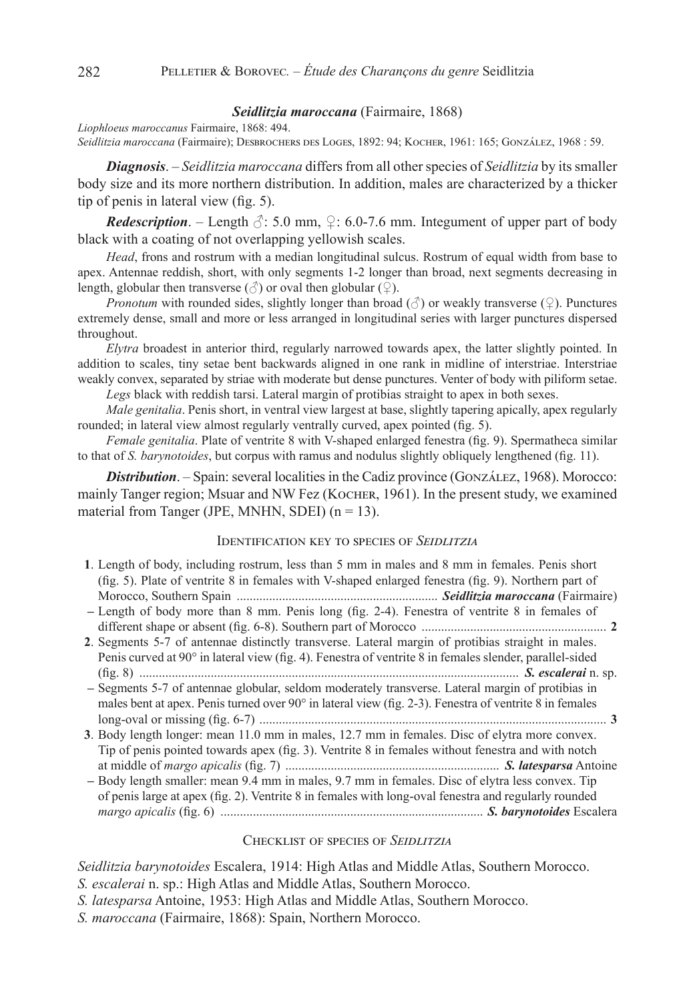#### *Seidlitzia maroccana* (Fairmaire, 1868)

*Liophloeus maroccanus* Fairmaire, 1868: 494. *Seidlitzia maroccana* (Fairmaire); Desbrochers des Loges, 1892: 94; Kocher, 1961: 165; González, 1968 : 59.

*Diagnosis*. – *Seidlitzia maroccana* differs from all other species of *Seidlitzia* by its smaller body size and its more northern distribution. In addition, males are characterized by a thicker tip of penis in lateral view (fig. 5).

*Redescription.* – Length  $\Diamond$ : 5.0 mm,  $\Diamond$ : 6.0-7.6 mm. Integument of upper part of body black with a coating of not overlapping yellowish scales.

*Head*, frons and rostrum with a median longitudinal sulcus. Rostrum of equal width from base to apex. Antennae reddish, short, with only segments 1-2 longer than broad, next segments decreasing in length, globular then transverse ( $\circlearrowleft$ ) or oval then globular ( $\circlearrowleft$ ).

*Pronotum* with rounded sides, slightly longer than broad  $(\text{3})$  or weakly transverse (♀). Punctures extremely dense, small and more or less arranged in longitudinal series with larger punctures dispersed throughout.

*Elytra* broadest in anterior third, regularly narrowed towards apex, the latter slightly pointed. In addition to scales, tiny setae bent backwards aligned in one rank in midline of interstriae. Interstriae weakly convex, separated by striae with moderate but dense punctures. Venter of body with piliform setae. *Legs* black with reddish tarsi. Lateral margin of protibias straight to apex in both sexes.

*Male genitalia*. Penis short, in ventral view largest at base, slightly tapering apically, apex regularly

rounded; in lateral view almost regularly ventrally curved, apex pointed (fig. 5).

*Female genitalia*. Plate of ventrite 8 with V-shaped enlarged fenestra (fig. 9). Spermatheca similar to that of *S. barynotoides*, but corpus with ramus and nodulus slightly obliquely lengthened (fig. 11).

**Distribution**. – Spain: several localities in the Cadiz province (GONZÁLEZ, 1968). Morocco: mainly Tanger region; Msuar and NW Fez (KOCHER, 1961). In the present study, we examined material from Tanger (JPE, MNHN, SDEI)  $(n = 13)$ .

### Identification key to species of *Seidlitzia*

| 1. Length of body, including rostrum, less than 5 mm in males and 8 mm in females. Penis short      |  |
|-----------------------------------------------------------------------------------------------------|--|
| (fig. 5). Plate of ventrite 8 in females with V-shaped enlarged fenestra (fig. 9). Northern part of |  |
|                                                                                                     |  |
| - Length of body more than 8 mm. Penis long (fig. 2-4). Fenestra of ventrite 8 in females of        |  |
|                                                                                                     |  |

- **2**. Segments 5-7 of antennae distinctly transverse. Lateral margin of protibias straight in males. Penis curved at 90° in lateral view (fig. 4). Fenestra of ventrite 8 in females slender, parallel-sided (fig. 8) ..................................................................................................................... *S. escalerai* n. sp. **–** Segments 5-7 of antennae globular, seldom moderately transverse. Lateral margin of protibias in
- males bent at apex. Penis turned over 90° in lateral view (fig. 2-3). Fenestra of ventrite 8 in females long-oval or missing (fig. 6-7) ........................................................................................................... **3**
- **3**. Body length longer: mean 11.0 mm in males, 12.7 mm in females. Disc of elytra more convex. Tip of penis pointed towards apex (fig. 3). Ventrite 8 in females without fenestra and with notch at middle of *margo apicalis* (fig. 7) .................................................................. *S. latesparsa* Antoine
- **–** Body length smaller: mean 9.4 mm in males, 9.7 mm in females. Disc of elytra less convex. Tip of penis large at apex (fig. 2). Ventrite 8 in females with long-oval fenestra and regularly rounded *margo apicalis* (fig. 6) ................................................................................. *S. barynotoides* Escalera

#### Checklist of species of *Seidlitzia*

*Seidlitzia barynotoides* Escalera, 1914: High Atlas and Middle Atlas, Southern Morocco.

- *S. escalerai* n. sp.: High Atlas and Middle Atlas, Southern Morocco.
- *S. latesparsa* Antoine, 1953: High Atlas and Middle Atlas, Southern Morocco.
- *S. maroccana* (Fairmaire, 1868): Spain, Northern Morocco.